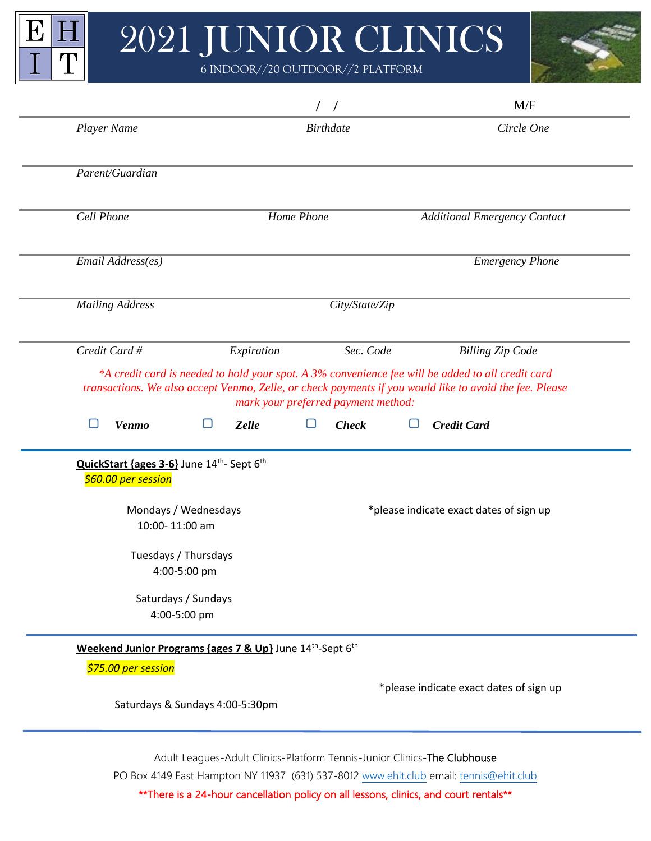## 2021 JUNIOR CLINICS

E

 $\overline{I}$ 

 $\vert \mathrm{H} \vert$ 

 $\mathbf T$ 

6 INDOOR//20 OUTDOOR//2 PLATFORM



|                                                                                                             |                                                                                   | $\sqrt{2}$                          | M/F                                                                                                                                                                                                          |
|-------------------------------------------------------------------------------------------------------------|-----------------------------------------------------------------------------------|-------------------------------------|--------------------------------------------------------------------------------------------------------------------------------------------------------------------------------------------------------------|
| Player Name                                                                                                 |                                                                                   | <b>Birthdate</b>                    | Circle One                                                                                                                                                                                                   |
| Parent/Guardian                                                                                             |                                                                                   |                                     |                                                                                                                                                                                                              |
| Cell Phone                                                                                                  | Home Phone                                                                        |                                     | <b>Additional Emergency Contact</b>                                                                                                                                                                          |
| Email Address(es)                                                                                           |                                                                                   |                                     | <b>Emergency Phone</b>                                                                                                                                                                                       |
| <b>Mailing Address</b>                                                                                      |                                                                                   | City/State/Zip                      |                                                                                                                                                                                                              |
| Credit Card #                                                                                               | Expiration                                                                        | Sec. Code                           | <b>Billing Zip Code</b>                                                                                                                                                                                      |
|                                                                                                             |                                                                                   | mark your preferred payment method: | *A credit card is needed to hold your spot. A 3% convenience fee will be added to all credit card<br>transactions. We also accept Venmo, Zelle, or check payments if you would like to avoid the fee. Please |
| <b>Venmo</b>                                                                                                | <b>Zelle</b>                                                                      | <b>Check</b>                        | <b>Credit Card</b>                                                                                                                                                                                           |
| QuickStart {ages 3-6} June 14 <sup>th</sup> - Sept 6 <sup>th</sup><br>\$60.00 per session<br>10:00-11:00 am | Mondays / Wednesdays                                                              |                                     | *please indicate exact dates of sign up                                                                                                                                                                      |
|                                                                                                             |                                                                                   |                                     |                                                                                                                                                                                                              |
| Tuesdays / Thursdays                                                                                        | 4:00-5:00 pm                                                                      |                                     |                                                                                                                                                                                                              |
|                                                                                                             | Saturdays / Sundays<br>4:00-5:00 pm                                               |                                     |                                                                                                                                                                                                              |
|                                                                                                             | Weekend Junior Programs {ages 7 & Up} June 14 <sup>th</sup> -Sept 6 <sup>th</sup> |                                     |                                                                                                                                                                                                              |
| \$75.00 per session                                                                                         | Saturdays & Sundays 4:00-5:30pm                                                   |                                     | *please indicate exact dates of sign up                                                                                                                                                                      |